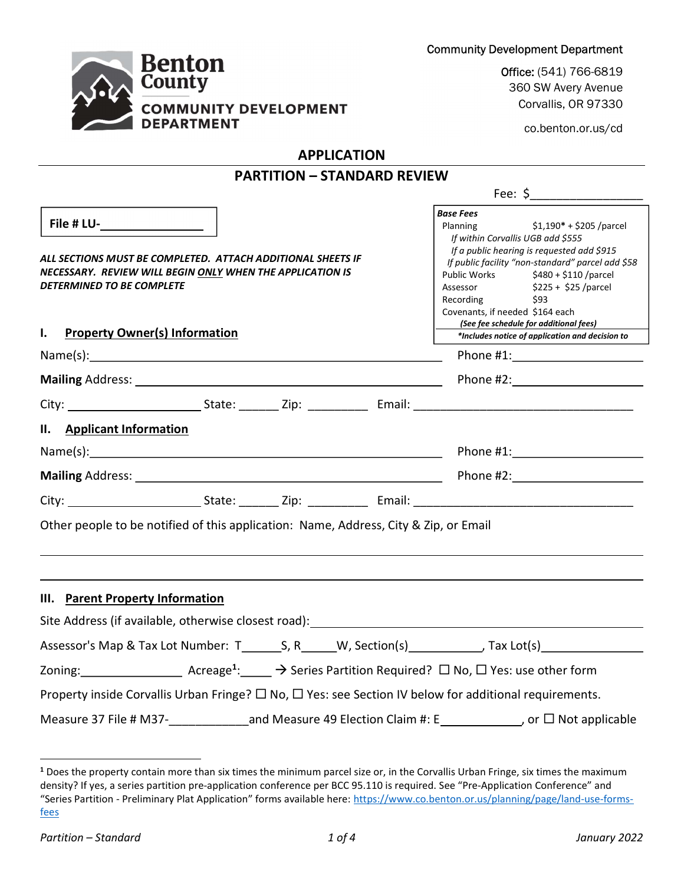

Community Development Department<br>Office: (541) 766-6819<br>360 SW Avery Avenue Corvallis, OR 97330

co.benton.or.us/cd

Fee:  $\zeta$ 

# APPLICATION

# PARTITION – STANDARD REVIEW

| File # LU-__________________                                                                                                                                                                                                   | <b>Base Fees</b><br>Planning \$1,190* + \$205 /parcel                                                                                                                                                                                                                                                       |  |  |
|--------------------------------------------------------------------------------------------------------------------------------------------------------------------------------------------------------------------------------|-------------------------------------------------------------------------------------------------------------------------------------------------------------------------------------------------------------------------------------------------------------------------------------------------------------|--|--|
| ALL SECTIONS MUST BE COMPLETED. ATTACH ADDITIONAL SHEETS IF<br>NECESSARY. REVIEW WILL BEGIN ONLY WHEN THE APPLICATION IS<br><b>DETERMINED TO BE COMPLETE</b>                                                                   | If within Corvallis UGB add \$555<br>If a public hearing is requested add \$915<br>If public facility "non-standard" parcel add \$58<br>Public Works \$480 + \$110 / parcel<br>Assessor \$225 + \$25 /parcel<br>Recording \$93<br>Covenants, if needed \$164 each<br>(See fee schedule for additional fees) |  |  |
| I. Property Owner(s) Information                                                                                                                                                                                               | *Includes notice of application and decision to                                                                                                                                                                                                                                                             |  |  |
|                                                                                                                                                                                                                                |                                                                                                                                                                                                                                                                                                             |  |  |
|                                                                                                                                                                                                                                |                                                                                                                                                                                                                                                                                                             |  |  |
|                                                                                                                                                                                                                                |                                                                                                                                                                                                                                                                                                             |  |  |
| II. Applicant Information                                                                                                                                                                                                      |                                                                                                                                                                                                                                                                                                             |  |  |
|                                                                                                                                                                                                                                | Phone #1: Phone #1:                                                                                                                                                                                                                                                                                         |  |  |
| Mailing Address: 1988 Contract and Contract and Contract and Contract and Contract and Contract and Contract and Contract and Contract and Contract and Contract and Contract and Contract and Contract and Contract and Contr |                                                                                                                                                                                                                                                                                                             |  |  |
|                                                                                                                                                                                                                                |                                                                                                                                                                                                                                                                                                             |  |  |
| Other people to be notified of this application: Name, Address, City & Zip, or Email                                                                                                                                           |                                                                                                                                                                                                                                                                                                             |  |  |
| III. Parent Property Information                                                                                                                                                                                               |                                                                                                                                                                                                                                                                                                             |  |  |
| Site Address (if available, otherwise closest road): Notified and the manufacture of the state of the state of                                                                                                                 |                                                                                                                                                                                                                                                                                                             |  |  |
| Assessor's Map & Tax Lot Number: T________S, R______W, Section(s)____________, Tax Lot(s)____________________                                                                                                                  |                                                                                                                                                                                                                                                                                                             |  |  |
| Zoning: $\_\_\_\_\_\_\_\_\_\_\_\_\_\_\_\_\_$ Acreage <sup>1</sup> : $\_\_\_\_\_\_\_\_\_\_\_\_$ Series Partition Required? $\_\_\_\_\_\_\_\_\_\$ Yes: use other form                                                            |                                                                                                                                                                                                                                                                                                             |  |  |
| Property inside Corvallis Urban Fringe? $\Box$ No, $\Box$ Yes: see Section IV below for additional requirements.                                                                                                               |                                                                                                                                                                                                                                                                                                             |  |  |
| Measure 37 File # M37-                                                                                                                                                                                                         | <b>Not applicable</b> 19 Election Claim #: E________________, or □ Not applicable                                                                                                                                                                                                                           |  |  |

 $\overline{a}$ 

<sup>&</sup>lt;sup>1</sup> Does the property contain more than six times the minimum parcel size or, in the Corvallis Urban Fringe, six times the maximum density? If yes, a series partition pre-application conference per BCC 95.110 is required. See "Pre-Application Conference" and "Series Partition - Preliminary Plat Application" forms available here: https://www.co.benton.or.us/planning/page/land-use-formsfees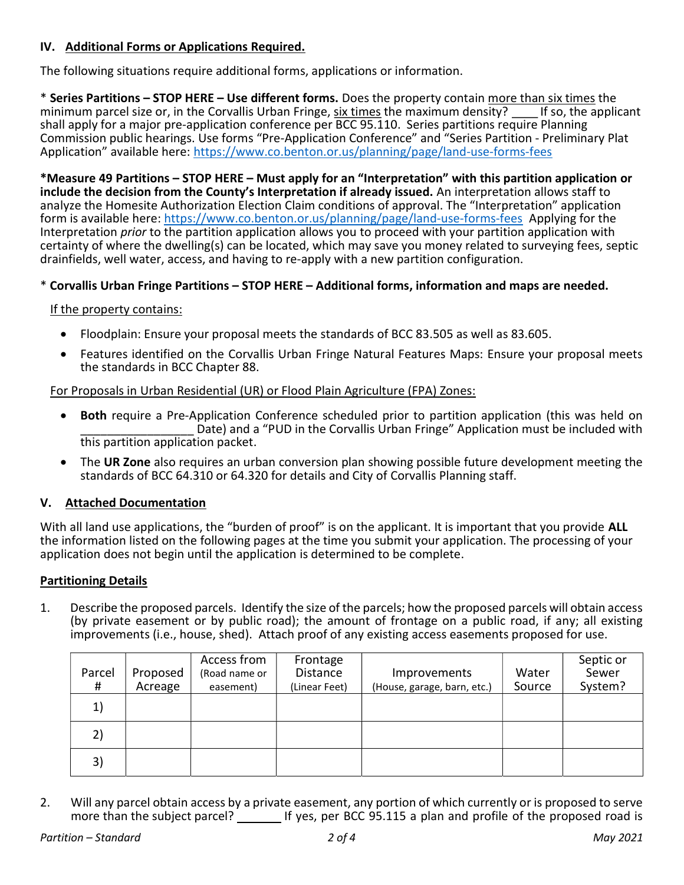### IV. Additional Forms or Applications Required.

The following situations require additional forms, applications or information.

\* Series Partitions – STOP HERE – Use different forms. Does the property contain <u>more than six times</u> the minimum parcel size or, in the Corvallis Urban Fringe, six times the maximum density? This applicant minimum parcel size or, in the Corvallis Urban Fringe, six times the maximum density? shall apply for a major pre-application conference per BCC 95.110. Series partitions require Planning Commission public hearings. Use forms "Pre-Application Conference" and "Series Partition - Preliminary Plat Application" available here: https://www.co.benton.or.us/planning/page/land-use-forms-fees

\*Measure 49 Partitions – STOP HERE – Must apply for an "Interpretation" with this partition application or include the decision from the County's Interpretation if already issued. An interpretation allows staff to analyze the Homesite Authorization Election Claim conditions of approval. The "Interpretation" application form is available here: https://www.co.benton.or.us/planning/page/land-use-forms-fees Applying for the Interpretation *prior* to the partition application allows you to proceed with your partition application with certainty of where the dwelling(s) can be located, which may save you money related to surveying fees, septic drainfields, well water, access, and having to re-apply with a new partition configuration.

### \* Corvallis Urban Fringe Partitions – STOP HERE – Additional forms, information and maps are needed.

### If the property contains:

- Floodplain: Ensure your proposal meets the standards of BCC 83.505 as well as 83.605.
- Features identified on the Corvallis Urban Fringe Natural Features Maps: Ensure your proposal meets the standards in BCC Chapter 88.

For Proposals in Urban Residential (UR) or Flood Plain Agriculture (FPA) Zones:

- Both require a Pre-Application Conference scheduled prior to partition application (this was held on Date) and a "PUD in the Corvallis Urban Fringe" Application must be included with this partition application packet.
- The UR Zone also requires an urban conversion plan showing possible future development meeting the standards of BCC 64.310 or 64.320 for details and City of Corvallis Planning staff.

# V. Attached Documentation

With all land use applications, the "burden of proof" is on the applicant. It is important that you provide ALL the information listed on the following pages at the time you submit your application. The processing of your application does not begin until the application is determined to be complete.

### Partitioning Details

1. Describe the proposed parcels. Identify the size of the parcels; how the proposed parcels will obtain access (by private easement or by public road); the amount of frontage on a public road, if any; all existing improvements (i.e., house, shed). Attach proof of any existing access easements proposed for use.

| Parcel<br># | Proposed<br>Acreage | Access from<br>(Road name or<br>easement) | Frontage<br>Distance<br>(Linear Feet) | Improvements<br>(House, garage, barn, etc.) | Water<br>Source | Septic or<br>Sewer<br>System? |
|-------------|---------------------|-------------------------------------------|---------------------------------------|---------------------------------------------|-----------------|-------------------------------|
| 1)          |                     |                                           |                                       |                                             |                 |                               |
| 2)          |                     |                                           |                                       |                                             |                 |                               |
| 3)          |                     |                                           |                                       |                                             |                 |                               |

2. Will any parcel obtain access by a private easement, any portion of which currently or is proposed to serve more than the subject parcel? If yes, per BCC 95.115 a plan and profile of the proposed road is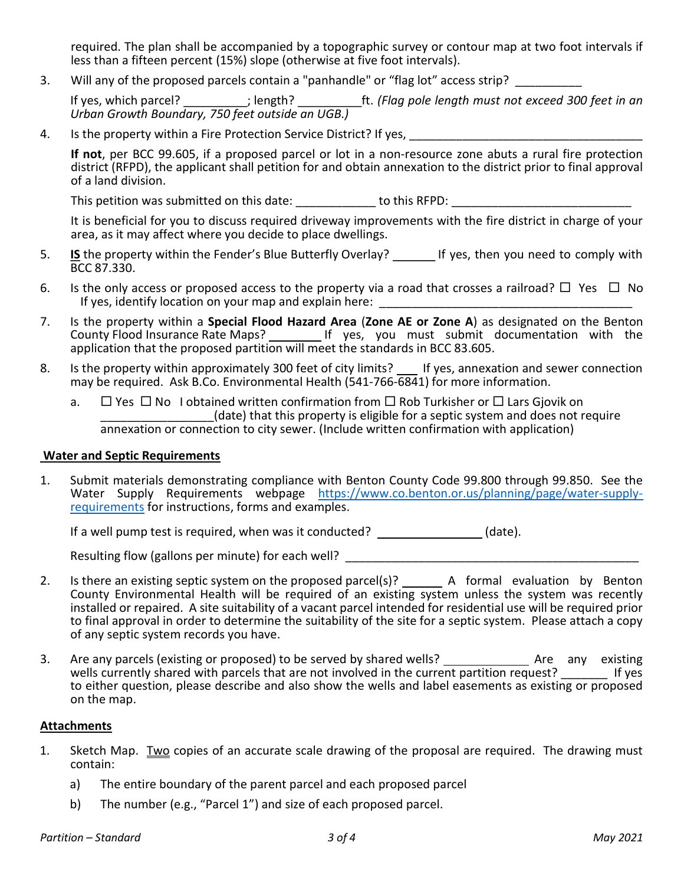required. The plan shall be accompanied by a topographic survey or contour map at two foot intervals if less than a fifteen percent (15%) slope (otherwise at five foot intervals).

3. Will any of the proposed parcels contain a "panhandle" or "flag lot" access strip?

If yes, which parcel? *\_\_\_\_\_\_\_\_\_\_;* length? \_\_\_\_\_\_\_\_\_ft. (Flag pole length must not exceed 300 feet in an Urban Growth Boundary, 750 feet outside an UGB.)

4. Is the property within a Fire Protection Service District? If yes,

If not, per BCC 99.605, if a proposed parcel or lot in a non-resource zone abuts a rural fire protection district (RFPD), the applicant shall petition for and obtain annexation to the district prior to final approval of a land division.

This petition was submitted on this date: <br>  $\blacksquare$  to this RFPD:

 It is beneficial for you to discuss required driveway improvements with the fire district in charge of your area, as it may affect where you decide to place dwellings.

- 5. **IS** the property within the Fender's Blue Butterfly Overlay? If yes, then you need to comply with BCC 87.330.
- 6. Is the only access or proposed access to the property via a road that crosses a railroad?  $\Box$  Yes  $\Box$  No If yes, identify location on your map and explain here:
- 7. Is the property within a Special Flood Hazard Area (Zone AE or Zone A) as designated on the Benton County Flood Insurance Rate Maps? \_\_\_\_\_\_\_\_\_\_ If yes, you must submit documentation with the application that the proposed partition will meet the standards in BCC 83.605.
- 8. Is the property within approximately 300 feet of city limits? \_\_ If yes, annexation and sewer connection may be required. Ask B.Co. Environmental Health (541-766-6841) for more information.
	- a.  $\Box$  Yes  $\Box$  No I obtained written confirmation from  $\Box$  Rob Turkisher or  $\Box$  Lars Gjovik on (date) that this property is eligible for a septic system and does not require annexation or connection to city sewer. (Include written confirmation with application)

### Water and Septic Requirements

1. Submit materials demonstrating compliance with Benton County Code 99.800 through 99.850. See the Water Supply Requirements webpage https://www.co.benton.or.us/planning/page/water-supplyrequirements for instructions, forms and examples.

If a well pump test is required, when was it conducted? \_\_\_\_\_\_\_\_\_\_\_\_\_\_\_(date).

Resulting flow (gallons per minute) for each well?

- 2. Is there an existing septic system on the proposed parcel(s)?  $\qquad$  A formal evaluation by Benton County Environmental Health will be required of an existing system unless the system was recently installed or repaired. A site suitability of a vacant parcel intended for residential use will be required prior to final approval in order to determine the suitability of the site for a septic system. Please attach a copy of any septic system records you have.
- 3. Are any parcels (existing or proposed) to be served by shared wells? \_\_\_\_\_\_\_\_\_\_\_\_\_\_\_\_ Are any existing wells currently shared with parcels that are not involved in the current partition request? \_\_\_\_\_\_\_\_ If yes to either question, please describe and also show the wells and label easements as existing or proposed on the map.

#### Attachments

- 1. Sketch Map. Two copies of an accurate scale drawing of the proposal are required. The drawing must contain:
	- a) The entire boundary of the parent parcel and each proposed parcel
	- b) The number (e.g., "Parcel 1") and size of each proposed parcel.